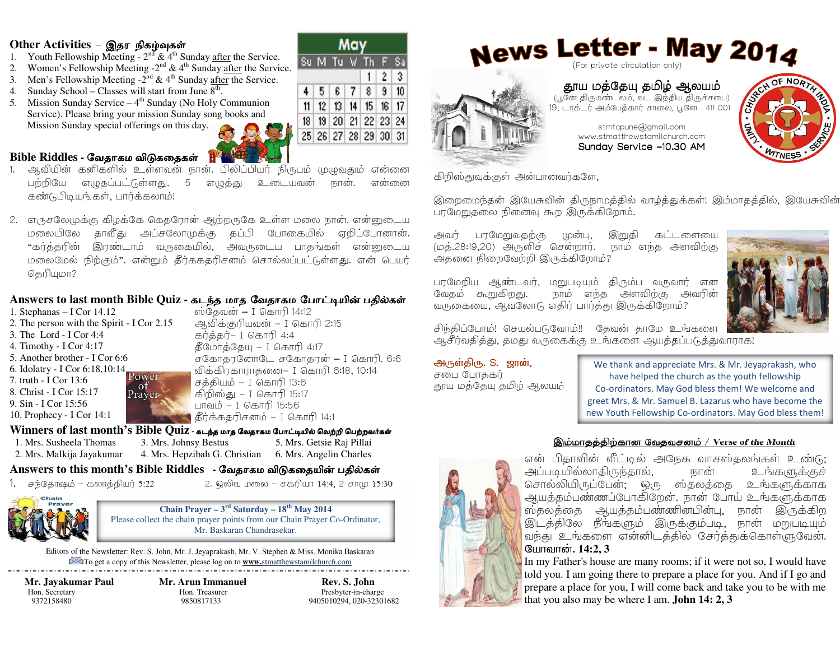#### Other Activities - இதர நிகழ்வுகள்

- 1. Youth Fellowship Meeting  $2^{nd}$  &  $4^{th}$  Sunday <u>after</u> the Service.
- Women's Fellowship Meeting  $-2^{nd}$  & 4<sup>th</sup> Sunday after the Service. 2.
- 3. Men's Fellowship Meeting  $-2^{nd} \& 4^{th}$  Sunday after the Service.
- 4. Sunday School Classes will start from June  $8^{\text{th}}$ .
- 5. Mission Sunday Service  $-4$ <sup>th</sup> Sunday (No Holy Communion Service). Please bring your mission Sunday song books and Mission Sunday special offerings on this day.

## Bible Riddles - வேதாகம விடுகதைகள்

- அவியின் கனிகளில் உள்ளவன் நான். பிலிப்பியர் நிருபம் முழுவதும் என்னை எழுத்து பற்றியே எழுதப்பட்டுள்ளது. 5 உடையவன் என்னை நான். கண்டுபிடியுங்கள், பார்க்கலாம்!
- 2. எருசலேமுக்கு கிழக்கே கெதரோன் ஆற்றருகே உள்ள மலை நான். என்னுடைய தாவீது மலையிலே அப்சலோமுக்கு தப்பி போகையில் ஏறிப்போனான். "கர்த்தரின் இரண்டாம் வருகையில், அவருடைய பாதங்கள் என்னுடைய மலைமேல் நிற்கும்". என்றும் தீர்ககதரிசனம் சொல்லப்பட்டுள்ளது. என் பெயர் தெரியுமா?

### Answers to last month Bible Quiz - கடந்த மாத வேதாகம போட்டியின் பதில்கள்

1. Stephanas  $-$  I Cor 14.12 2. The person with the Spirit - I Cor 2.15 3. The Lord - I Cor 4:4 4. Timothy - I Cor 4:17 5. Another brother - I Cor 6:6 6. Idolatry - I Cor 6:18,10:14 Power 7. truth - I Cor 13:6 of 8. Christ - I Cor 15:17 Prayer 9. Sin - I Cor 15:56 10. Prophecy - I Cor 14:1

ஸ்கேவன் – I கொரி 14:12 ஆவிக்குரியவன் – I கொரி 2:15  $\overline{AB}$  $$$ Сип $$$ С $$$ иц – I  $$$ алп $$$ 1:17 சகோதரனோடே சகோதரன் – I கொரி. 6:6 விக்கிரகாராதனை- I கொரி 6:18, 10:14 சத்தியம் – I கொரி 13:6 கிறிஸ்து – I கொரி 15:17 பாவம் – I கொரி 15:56 ு கீர்க்கதரிசனம<sup>்</sup> – I கொரி 14:1

 $4 \mid 5$ 

6

Winners of last month's Bible Quiz - கடந்த மாத வேதாகம போட்டியில் வெற்றி பெற்றவர்கள் 1. Mrs. Susheela Thomas 2. Mrs. Malkija Jayakumar

3. Mrs. Johnsy Bestus 5. Mrs. Getsie Raj Pillai 4. Mrs. Hepzibah G. Christian 6. Mrs. Angelin Charles

## Answers to this month's Bible Riddles - வேதாகம விடுகதையின் பதில்கள்

1. சந்தோஷம் – கலாத்தியர் 5:22

2. ஒலிவ மலை – சகரியா 14:4, 2 சாமு 15:30

Chain Prayer –  $3^{rd}$  Saturday –  $18^{th}$  May 2014 Please collect the chain prayer points from our Chain Prayer Co-Ordinator, Mr. Baskaran Chandrasekar.

Editors of the Newsletter: Rev. S. John, Mr. J. Jeyaprakash, Mr. V. Stephen & Miss. Monika Baskaran To get a copy of this Newsletter, please log on to **www.**stmatthewstamilchurch.com

Mr. Javakumar Paul Hon. Secretary 9372158480

**Mr. Arun Immanuel** Hon Treasurer 9850817133

Rev. S. John Presbyter-in-charge 9405010294.020-32301682

May Su M Tu W Th F Sa  $2 \mid 3$  $1<sup>1</sup>$  $|9|$  $7<sup>1</sup>$ 8 10 11 12 13 14 15 16 17 18 19 20 21 22 23 24 25 26 27 28 29 30 31





தூய மத்தேயு தமிழ் ஆலயம் (பூனே திருமண்டலம், வட இந்திய திருச்சபை) 19, டாக்டர் அம்பேத்கார் சாலை, பூனே - 411 001

stmtcpune@gmail.com

RESIDE NORT

கிறிஸ்துவுக்குள் அன்பானவர்களே,

இறைமைந்தன் இயேசுவின் திருநாமத்தில் வாழ்த்துக்கள்! இம்மாதத்தில், இயேசுவின் பரமேறுதலை நினைவு கூற இருக்கிறோம்.

பரமேறுவதற்கு கட்டளையை அவர் (மன்ப. இறுகி (மத்.28:19,20) அருளிச் சென்றார். நாம் எந்த அளவிற்கு அதனை நிறைவேற்றி இருக்கிறோம்?

பாமேறிய ஆண்டவர், மறுபடியும் திரும்ப வருவார் என வேகம் கூறுகிறது. நாம் எந்த அளவிற்கு அவரின் வருகையை, ஆவலோடு எதிர் பார்த்து இருக்கிறோம்?



சிந்திப்போம்! செயல்படுவோம்!! தேவன் தாமே உங்களை அசீர்வதித்து, தமது வருகைக்கு உங்களை ஆயத்தப்படுத்துவாராக!

#### அருள்திரு. S. ஜான்,

சபை போதகர் .<br>தாய மத்தேய தமிழ் ஆலயம்

We thank and appreciate Mrs. & Mr. Jeyaprakash, who have helped the church as the youth fellowship Co-ordinators. May God bless them! We welcome and greet Mrs. & Mr. Samuel B. Lazarus who have become the new Youth Fellowship Co-ordinators. May God bless them!

#### இம்மாதத்திற்கான வேதவசனம் / Verse of the Month

என் பிதாவின் வீட்டில் அநேக வாசஸ்தலங்கள் உண்டு: அப்படியில்லாகிருந்தால். உங்களுக்குச் நான் சொல்லியிருப்பேன். ஒரு ஸ்தலத்தை உங்களுக்காக ஆயத்தம்பண்ணப்போகிறேன். நான் போய் உங்களுக்காக ஸ்தலத்தை ஆயத்தம்பண்ணின்பின்பு, நான் இருக்கிற இடத்திலே நீங்களும் இருக்கும்படி, நான் மறுபடியும் வந்து உங்களை என்னிடத்தில் சேர்த்துக்கொள்ளுவேன். யோவான். 14:2.3

In my Father's house are many rooms; if it were not so, I would have told you. I am going there to prepare a place for you. And if I go and prepare a place for you, I will come back and take you to be with me that you also may be where I am. **John 14: 2, 3**